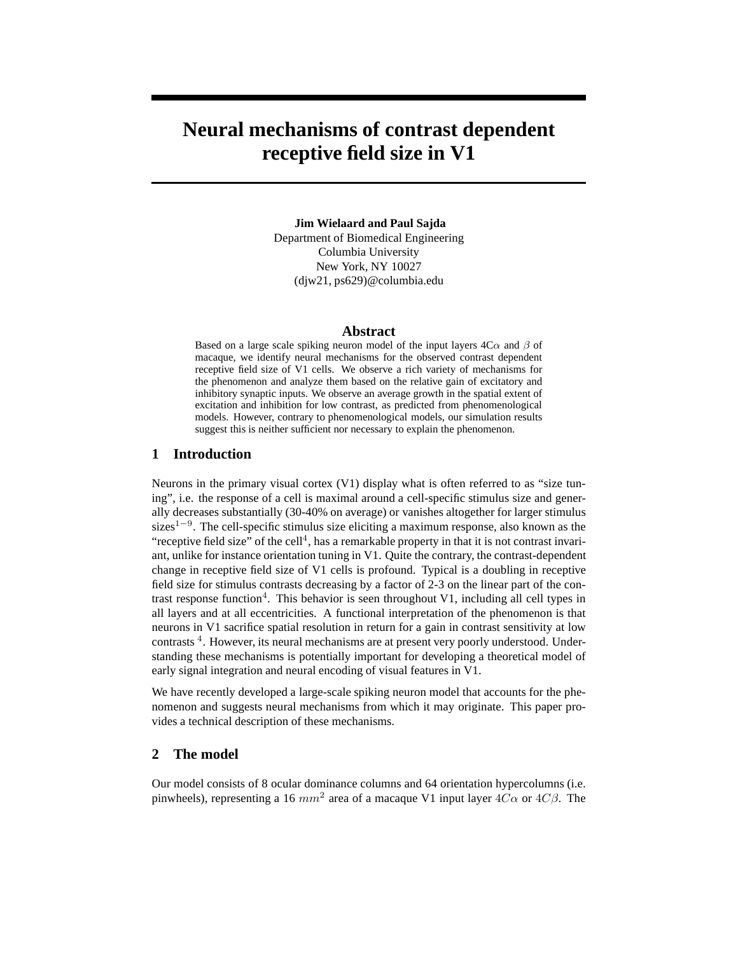# **Neural mechanisms of contrast dependent receptive field size in V1**

**Jim Wielaard and Paul Sajda** Department of Biomedical Engineering Columbia University New York, NY 10027 (djw21, ps629)@columbia.edu

#### **Abstract**

Based on a large scale spiking neuron model of the input layers  $4C\alpha$  and  $\beta$  of macaque, we identify neural mechanisms for the observed contrast dependent receptive field size of V1 cells. We observe a rich variety of mechanisms for the phenomenon and analyze them based on the relative gain of excitatory and inhibitory synaptic inputs. We observe an average growth in the spatial extent of excitation and inhibition for low contrast, as predicted from phenomenological models. However, contrary to phenomenological models, our simulation results suggest this is neither sufficient nor necessary to explain the phenomenon.

## **1 Introduction**

Neurons in the primary visual cortex (V1) display what is often referred to as "size tuning", i.e. the response of a cell is maximal around a cell-specific stimulus size and generally decreases substantially (30-40% on average) or vanishes altogether for larger stimulus sizes<sup>1–9</sup>. The cell-specific stimulus size eliciting a maximum response, also known as the "receptive field size" of the cell<sup>4</sup>, has a remarkable property in that it is not contrast invariant, unlike for instance orientation tuning in V1. Quite the contrary, the contrast-dependent change in receptive field size of V1 cells is profound. Typical is a doubling in receptive field size for stimulus contrasts decreasing by a factor of 2-3 on the linear part of the contrast response function<sup>4</sup>. This behavior is seen throughout V1, including all cell types in all layers and at all eccentricities. A functional interpretation of the phenomenon is that neurons in V1 sacrifice spatial resolution in return for a gain in contrast sensitivity at low contrasts<sup>4</sup>. However, its neural mechanisms are at present very poorly understood. Understanding these mechanisms is potentially important for developing a theoretical model of early signal integration and neural encoding of visual features in V1.

We have recently developed a large-scale spiking neuron model that accounts for the phenomenon and suggests neural mechanisms from which it may originate. This paper provides a technical description of these mechanisms.

# **2 The model**

Our model consists of 8 ocular dominance columns and 64 orientation hypercolumns (i.e. pinwheels), representing a 16  $mm^2$  area of a macaque V1 input layer  $4C\alpha$  or  $4C\beta$ . The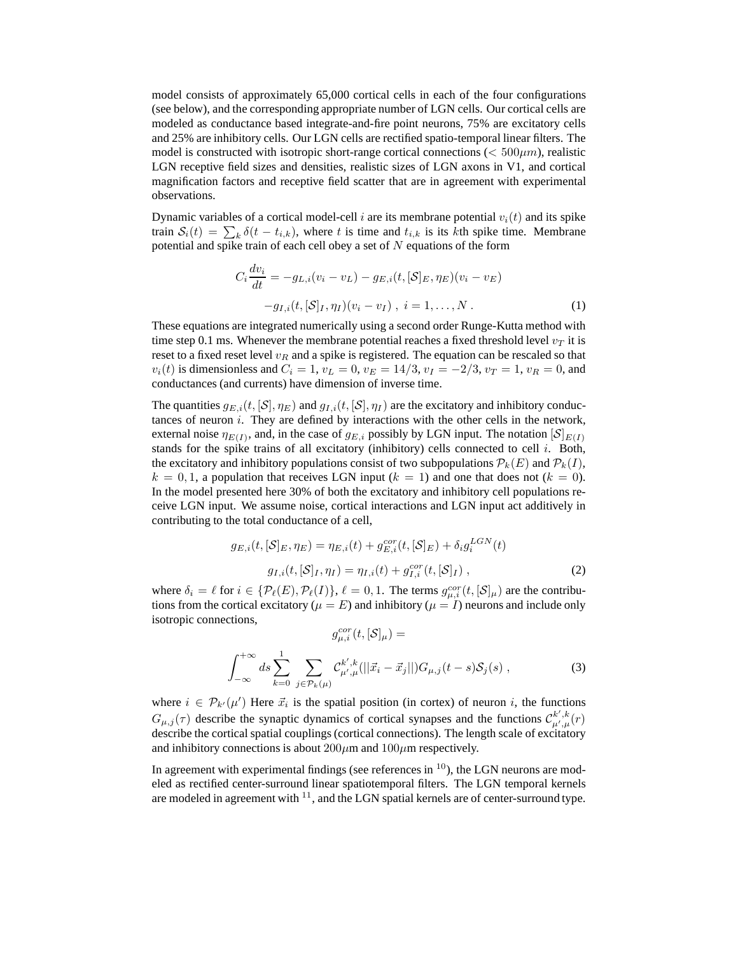model consists of approximately 65,000 cortical cells in each of the four configurations (see below), and the corresponding appropriate number of LGN cells. Our cortical cells are modeled as conductance based integrate-and-fire point neurons, 75% are excitatory cells and 25% are inhibitory cells. Our LGN cells are rectified spatio-temporal linear filters. The model is constructed with isotropic short-range cortical connections ( $< 500 \mu m$ ), realistic LGN receptive field sizes and densities, realistic sizes of LGN axons in V1, and cortical magnification factors and receptive field scatter that are in agreement with experimental observations.

Dynamic variables of a cortical model-cell i are its membrane potential  $v_i(t)$  and its spike train  $S_i(t) = \sum_k \delta(t - t_{i,k})$ , where t is time and  $t_{i,k}$  is its kth spike time. Membrane potential and spike train of each cell obey a set of  $N$  equations of the form

$$
C_i \frac{dv_i}{dt} = -g_{L,i}(v_i - v_L) - g_{E,i}(t, [\mathcal{S}]_E, \eta_E)(v_i - v_E)
$$

$$
-g_{I,i}(t, [\mathcal{S}]_I, \eta_I)(v_i - v_I), i = 1, ..., N.
$$
 (1)

These equations are integrated numerically using a second order Runge-Kutta method with time step 0.1 ms. Whenever the membrane potential reaches a fixed threshold level  $v_T$  it is reset to a fixed reset level  $v_R$  and a spike is registered. The equation can be rescaled so that  $v_i(t)$  is dimensionless and  $C_i = 1$ ,  $v_L = 0$ ,  $v_E = 14/3$ ,  $v_I = -2/3$ ,  $v_T = 1$ ,  $v_R = 0$ , and conductances (and currents) have dimension of inverse time.

The quantities  $g_{E,i}(t, \mathcal{S}|, \eta_E)$  and  $g_{I,i}(t, \mathcal{S}|, \eta_I)$  are the excitatory and inhibitory conductances of neuron  $i$ . They are defined by interactions with the other cells in the network, external noise  $\eta_{E(I)}$ , and, in the case of  $g_{E,i}$  possibly by LGN input. The notation  $[\mathcal{S}]_{E(I)}$ stands for the spike trains of all excitatory (inhibitory) cells connected to cell  $i$ . Both, the excitatory and inhibitory populations consist of two subpopulations  $\mathcal{P}_k(E)$  and  $\mathcal{P}_k(I)$ ,  $k = 0, 1$ , a population that receives LGN input  $(k = 1)$  and one that does not  $(k = 0)$ . In the model presented here 30% of both the excitatory and inhibitory cell populations receive LGN input. We assume noise, cortical interactions and LGN input act additively in contributing to the total conductance of a cell,

$$
g_{E,i}(t,[S]_E,\eta_E) = \eta_{E,i}(t) + g_{E,i}^{cor}(t,[S]_E) + \delta_i g_i^{LGN}(t)
$$

$$
g_{I,i}(t,[S]_I,\eta_I) = \eta_{I,i}(t) + g_{I,i}^{cor}(t,[S]_I) ,
$$
 (2)

where  $\delta_i = \ell$  for  $i \in {\mathcal{P}}_{\ell}(E), {\mathcal{P}}_{\ell}(I)$ ,  $\ell = 0, 1$ . The terms  $g_{\mu,i}^{cor}(t, {\mathcal{S}}]_{\mu}$  are the contributions from the cortical excitatory ( $\mu = E$ ) and inhibitory ( $\mu = I$ ) neurons and include only isotropic connections,

$$
g_{\mu,i}^{cor}(t,[S]_{\mu}) =
$$
  

$$
\int_{-\infty}^{+\infty} ds \sum_{k=0}^{1} \sum_{j \in \mathcal{P}_k(\mu)} C_{\mu',\mu}^{k',k}(||\vec{x}_i - \vec{x}_j||) G_{\mu,j}(t-s) S_j(s) ,
$$
 (3)

where  $i \in \mathcal{P}_{k'}(\mu')$  Here  $\vec{x}_i$  is the spatial position (in cortex) of neuron i, the functions  $G_{\mu,j}(\tau)$  describe the synaptic dynamics of cortical synapses and the functions  $\mathcal{C}^{k',k}_{\mu',\mu}(\tau)$ describe the cortical spatial couplings (cortical connections). The length scale of excitatory and inhibitory connections is about  $200 \mu m$  and  $100 \mu m$  respectively.

In agreement with experimental findings (see references in  $10$ ), the LGN neurons are modeled as rectified center-surround linear spatiotemporal filters. The LGN temporal kernels are modeled in agreement with  $^{11}$ , and the LGN spatial kernels are of center-surround type.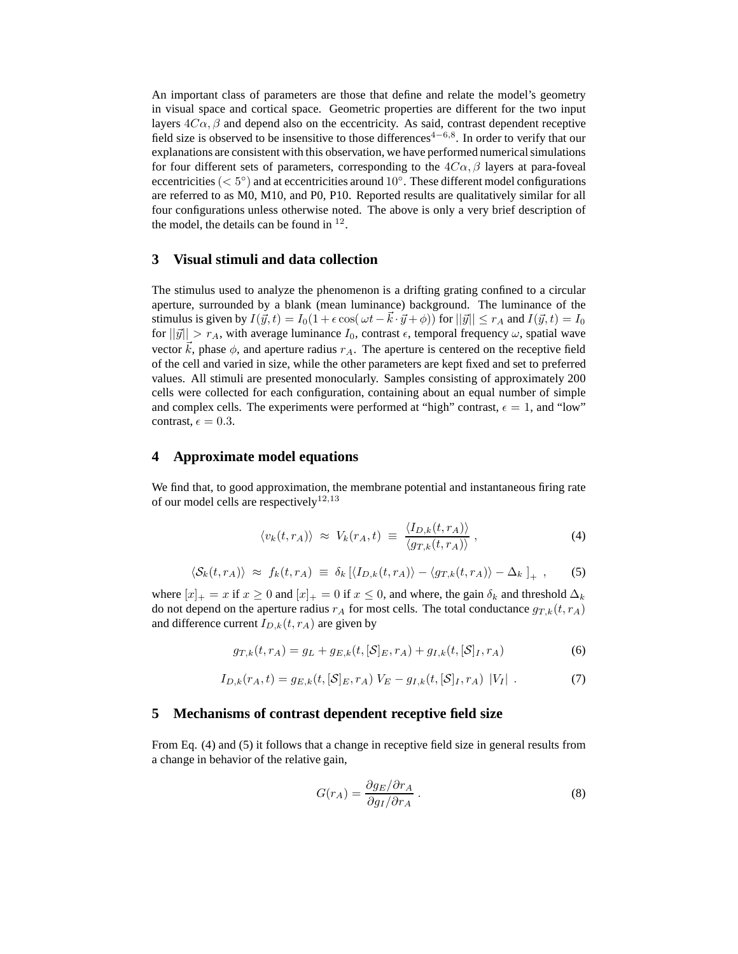An important class of parameters are those that define and relate the model's geometry in visual space and cortical space. Geometric properties are different for the two input layers  $4C\alpha$ ,  $\beta$  and depend also on the eccentricity. As said, contrast dependent receptive field size is observed to be insensitive to those differences<sup>4-6,8</sup>. In order to verify that our explanations are consistent with this observation, we have performed numerical simulations for four different sets of parameters, corresponding to the  $4C\alpha$ ,  $\beta$  layers at para-foveal eccentricities ( $< 5^{\circ}$ ) and at eccentricities around 10 $^{\circ}$ . These different model configurations are referred to as M0, M10, and P0, P10. Reported results are qualitatively similar for all four configurations unless otherwise noted. The above is only a very brief description of the model, the details can be found in  $12$ .

# **3 Visual stimuli and data collection**

The stimulus used to analyze the phenomenon is a drifting grating confined to a circular aperture, surrounded by a blank (mean luminance) background. The luminance of the stimulus is given by  $I(\vec{y}, t) = I_0(1 + \epsilon \cos(\omega t - \vec{k} \cdot \vec{y} + \phi))$  for  $||\vec{y}|| \le r_A$  and  $I(\vec{y}, t) = I_0$ for  $||\vec{y}|| > r_A$ , with average luminance  $I_0$ , contrast  $\epsilon$ , temporal frequency  $\omega$ , spatial wave vector  $k$ , phase  $\phi$ , and aperture radius  $r_A$ . The aperture is centered on the receptive field of the cell and varied in size, while the other parameters are kept fixed and set to preferred values. All stimuli are presented monocularly. Samples consisting of approximately 200 cells were collected for each configuration, containing about an equal number of simple and complex cells. The experiments were performed at "high" contrast,  $\epsilon = 1$ , and "low" contrast,  $\epsilon = 0.3$ .

## **4 Approximate model equations**

We find that, to good approximation, the membrane potential and instantaneous firing rate of our model cells are respectively<sup>12,13</sup>

$$
\langle v_k(t,r_A) \rangle \approx V_k(r_A,t) \equiv \frac{\langle I_{D,k}(t,r_A) \rangle}{\langle g_{T,k}(t,r_A) \rangle}, \qquad (4)
$$

$$
\langle \mathcal{S}_k(t,r_A) \rangle \approx f_k(t,r_A) \equiv \delta_k \left[ \langle I_{D,k}(t,r_A) \rangle - \langle g_{T,k}(t,r_A) \rangle - \Delta_k \right]_+, \quad (5)
$$

where  $[x]_+ = x$  if  $x \ge 0$  and  $[x]_+ = 0$  if  $x \le 0$ , and where, the gain  $\delta_k$  and threshold  $\Delta_k$ do not depend on the aperture radius  $r_A$  for most cells. The total conductance  $g_{T,k}(t, r_A)$ and difference current  $I_{D,k}(t, r_A)$  are given by

$$
g_{T,k}(t,r_A) = g_L + g_{E,k}(t,[S]_E,r_A) + g_{I,k}(t,[S]_I,r_A)
$$
\n(6)

$$
I_{D,k}(r_A, t) = g_{E,k}(t, [\mathcal{S}]_E, r_A) V_E - g_{I,k}(t, [\mathcal{S}]_I, r_A) |V_I|.
$$
 (7)

#### **5 Mechanisms of contrast dependent receptive field size**

From Eq. (4) and (5) it follows that a change in receptive field size in general results from a change in behavior of the relative gain,

$$
G(r_A) = \frac{\partial g_E/\partial r_A}{\partial g_I/\partial r_A} \,. \tag{8}
$$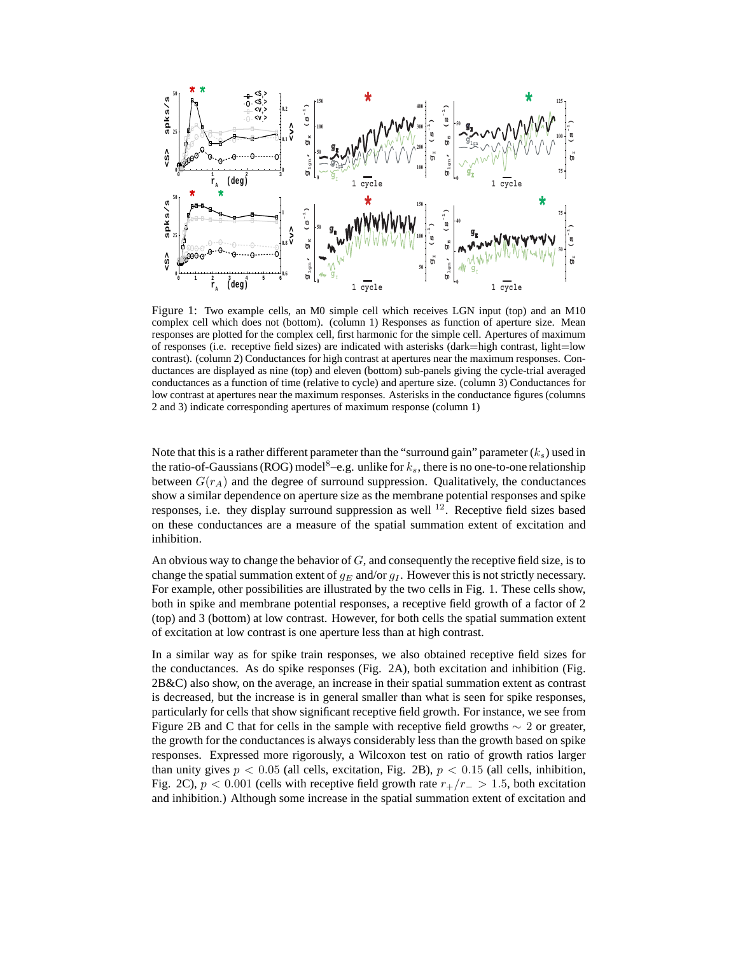

Figure 1: Two example cells, an M0 simple cell which receives LGN input (top) and an M10 complex cell which does not (bottom). (column 1) Responses as function of aperture size. Mean responses are plotted for the complex cell, first harmonic for the simple cell. Apertures of maximum of responses (i.e. receptive field sizes) are indicated with asterisks (dark=high contrast, light=low contrast). (column 2) Conductances for high contrast at apertures near the maximum responses. Conductances are displayed as nine (top) and eleven (bottom) sub-panels giving the cycle-trial averaged conductances as a function of time (relative to cycle) and aperture size. (column 3) Conductances for low contrast at apertures near the maximum responses. Asterisks in the conductance figures (columns 2 and 3) indicate corresponding apertures of maximum response (column 1)

Note that this is a rather different parameter than the "surround gain" parameter  $(k<sub>s</sub>)$  used in the ratio-of-Gaussians (ROG) model<sup>8</sup>–e.g. unlike for  $k_s$ , there is no one-to-one relationship between  $G(r_A)$  and the degree of surround suppression. Qualitatively, the conductances show a similar dependence on aperture size as the membrane potential responses and spike responses, i.e. they display surround suppression as well  $^{12}$ . Receptive field sizes based on these conductances are a measure of the spatial summation extent of excitation and inhibition.

An obvious way to change the behavior of  $G$ , and consequently the receptive field size, is to change the spatial summation extent of  $g_E$  and/or  $g_I$ . However this is not strictly necessary. For example, other possibilities are illustrated by the two cells in Fig. 1. These cells show, both in spike and membrane potential responses, a receptive field growth of a factor of 2 (top) and 3 (bottom) at low contrast. However, for both cells the spatial summation extent of excitation at low contrast is one aperture less than at high contrast.

In a similar way as for spike train responses, we also obtained receptive field sizes for the conductances. As do spike responses (Fig. 2A), both excitation and inhibition (Fig. 2B&C) also show, on the average, an increase in their spatial summation extent as contrast is decreased, but the increase is in general smaller than what is seen for spike responses, particularly for cells that show significant receptive field growth. For instance, we see from Figure 2B and C that for cells in the sample with receptive field growths  $\sim$  2 or greater, the growth for the conductances is always considerably less than the growth based on spike responses. Expressed more rigorously, a Wilcoxon test on ratio of growth ratios larger than unity gives  $p < 0.05$  (all cells, excitation, Fig. 2B),  $p < 0.15$  (all cells, inhibition, Fig. 2C),  $p < 0.001$  (cells with receptive field growth rate  $r_{+}/r_{-} > 1.5$ , both excitation and inhibition.) Although some increase in the spatial summation extent of excitation and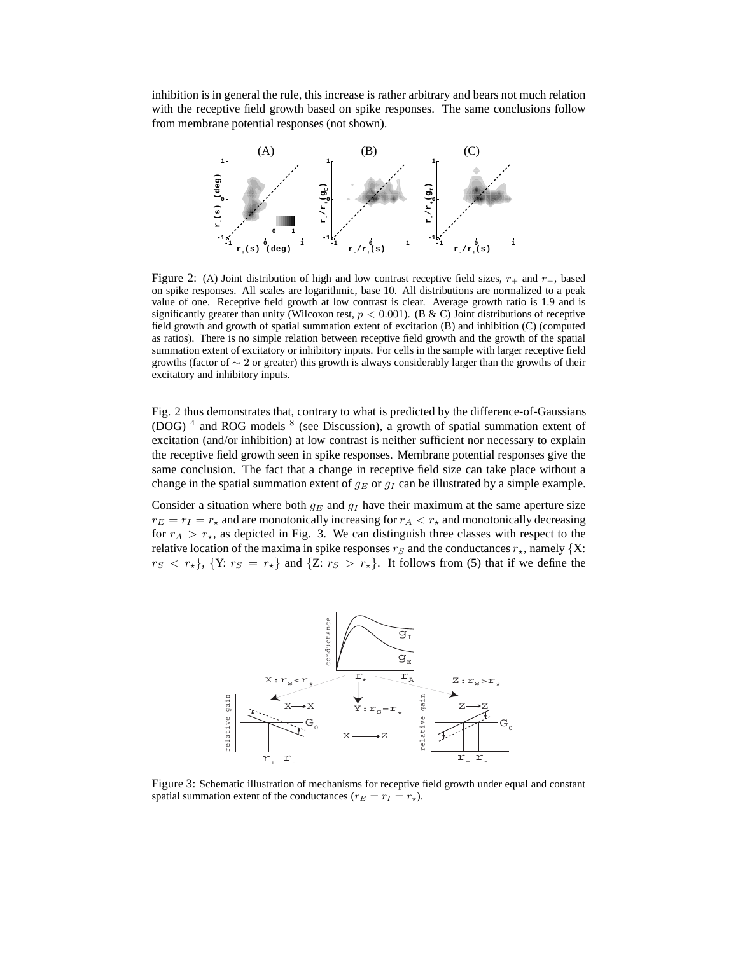inhibition is in general the rule, this increase is rather arbitrary and bears not much relation with the receptive field growth based on spike responses. The same conclusions follow from membrane potential responses (not shown).



Figure 2: (A) Joint distribution of high and low contrast receptive field sizes,  $r_+$  and  $r_-$ , based on spike responses. All scales are logarithmic, base 10. All distributions are normalized to a peak value of one. Receptive field growth at low contrast is clear. Average growth ratio is 1.9 and is significantly greater than unity (Wilcoxon test,  $p < 0.001$ ). (B & C) Joint distributions of receptive field growth and growth of spatial summation extent of excitation (B) and inhibition (C) (computed as ratios). There is no simple relation between receptive field growth and the growth of the spatial summation extent of excitatory or inhibitory inputs. For cells in the sample with larger receptive field growths (factor of ∼ 2 or greater) this growth is always considerably larger than the growths of their excitatory and inhibitory inputs.

Fig. 2 thus demonstrates that, contrary to what is predicted by the difference-of-Gaussians (DOG)  $<sup>4</sup>$  and ROG models  $<sup>8</sup>$  (see Discussion), a growth of spatial summation extent of</sup></sup> excitation (and/or inhibition) at low contrast is neither sufficient nor necessary to explain the receptive field growth seen in spike responses. Membrane potential responses give the same conclusion. The fact that a change in receptive field size can take place without a change in the spatial summation extent of  $g_E$  or  $g_I$  can be illustrated by a simple example.

Consider a situation where both  $g_E$  and  $g_I$  have their maximum at the same aperture size  $r_E = r_I = r_{\star}$  and are monotonically increasing for  $r_A < r_{\star}$  and monotonically decreasing for  $r_A > r_{\star}$ , as depicted in Fig. 3. We can distinguish three classes with respect to the relative location of the maxima in spike responses  $r_S$  and the conductances  $r_{\star}$ , namely {X:  $r_S < r_{\star}$ ,  $\{Y: r_S = r_{\star}\}\$  and  $\{Z: r_S > r_{\star}\}\$ . It follows from (5) that if we define the



Figure 3: Schematic illustration of mechanisms for receptive field growth under equal and constant spatial summation extent of the conductances ( $r_E = r_I = r_{\star}$ ).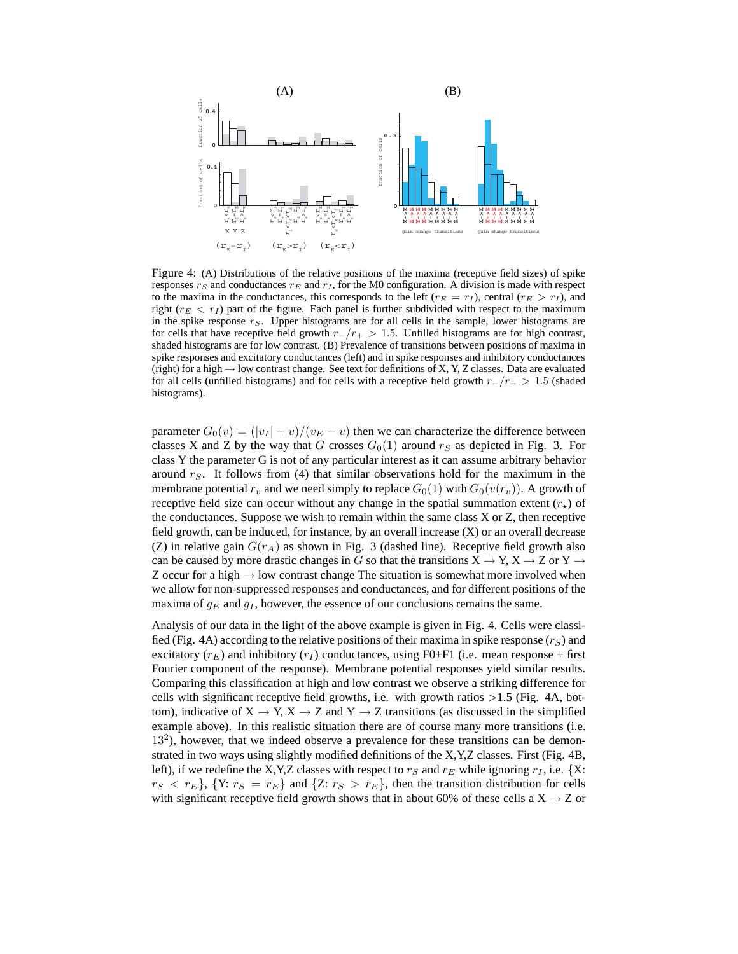

Figure 4: (A) Distributions of the relative positions of the maxima (receptive field sizes) of spike responses  $r_S$  and conductances  $r_E$  and  $r_I$ , for the M0 configuration. A division is made with respect to the maxima in the conductances, this corresponds to the left ( $r_E = r_I$ ), central ( $r_E > r_I$ ), and right  $(r_E < r_I)$  part of the figure. Each panel is further subdivided with respect to the maximum in the spike response  $r_S$ . Upper histograms are for all cells in the sample, lower histograms are for cells that have receptive field growth  $r_{-}/r_{+} > 1.5$ . Unfilled histograms are for high contrast, shaded histograms are for low contrast. (B) Prevalence of transitions between positions of maxima in spike responses and excitatory conductances (left) and in spike responses and inhibitory conductances (right) for a high  $\rightarrow$  low contrast change. See text for definitions of X, Y, Z classes. Data are evaluated for all cells (unfilled histograms) and for cells with a receptive field growth  $r_{-}/r_{+} > 1.5$  (shaded histograms).

parameter  $G_0(v) = (|v_I| + v)/(v_E - v)$  then we can characterize the difference between classes X and Z by the way that G crosses  $G<sub>0</sub>(1)$  around  $r<sub>S</sub>$  as depicted in Fig. 3. For class Y the parameter G is not of any particular interest as it can assume arbitrary behavior around  $r<sub>S</sub>$ . It follows from (4) that similar observations hold for the maximum in the membrane potential  $r_v$  and we need simply to replace  $G_0(1)$  with  $G_0(v(r_v))$ . A growth of receptive field size can occur without any change in the spatial summation extent  $(r<sub>*</sub>)$  of the conductances. Suppose we wish to remain within the same class X or Z, then receptive field growth, can be induced, for instance, by an overall increase (X) or an overall decrease (Z) in relative gain  $G(r_A)$  as shown in Fig. 3 (dashed line). Receptive field growth also can be caused by more drastic changes in G so that the transitions  $X \to Y$ ,  $X \to Z$  or  $Y \to Z$ Z occur for a high  $\rightarrow$  low contrast change The situation is somewhat more involved when we allow for non-suppressed responses and conductances, and for different positions of the maxima of  $g_E$  and  $g_I$ , however, the essence of our conclusions remains the same.

Analysis of our data in the light of the above example is given in Fig. 4. Cells were classified (Fig. 4A) according to the relative positions of their maxima in spike response  $(r<sub>S</sub>)$  and excitatory  $(r_E)$  and inhibitory  $(r_I)$  conductances, using F0+F1 (i.e. mean response + first Fourier component of the response). Membrane potential responses yield similar results. Comparing this classification at high and low contrast we observe a striking difference for cells with significant receptive field growths, i.e. with growth ratios  $>1.5$  (Fig. 4A, bottom), indicative of  $X \to Y$ ,  $X \to Z$  and  $Y \to Z$  transitions (as discussed in the simplified example above). In this realistic situation there are of course many more transitions (i.e. 13<sup>2</sup>), however, that we indeed observe a prevalence for these transitions can be demonstrated in two ways using slightly modified definitions of the X,Y,Z classes. First (Fig. 4B, left), if we redefine the X,Y,Z classes with respect to  $r_S$  and  $r_E$  while ignoring  $r_I$ , i.e. {X:  $r_S < r_E$ , {Y:  $r_S = r_E$ } and {Z:  $r_S > r_E$ }, then the transition distribution for cells with significant receptive field growth shows that in about 60% of these cells a  $X \rightarrow Z$  or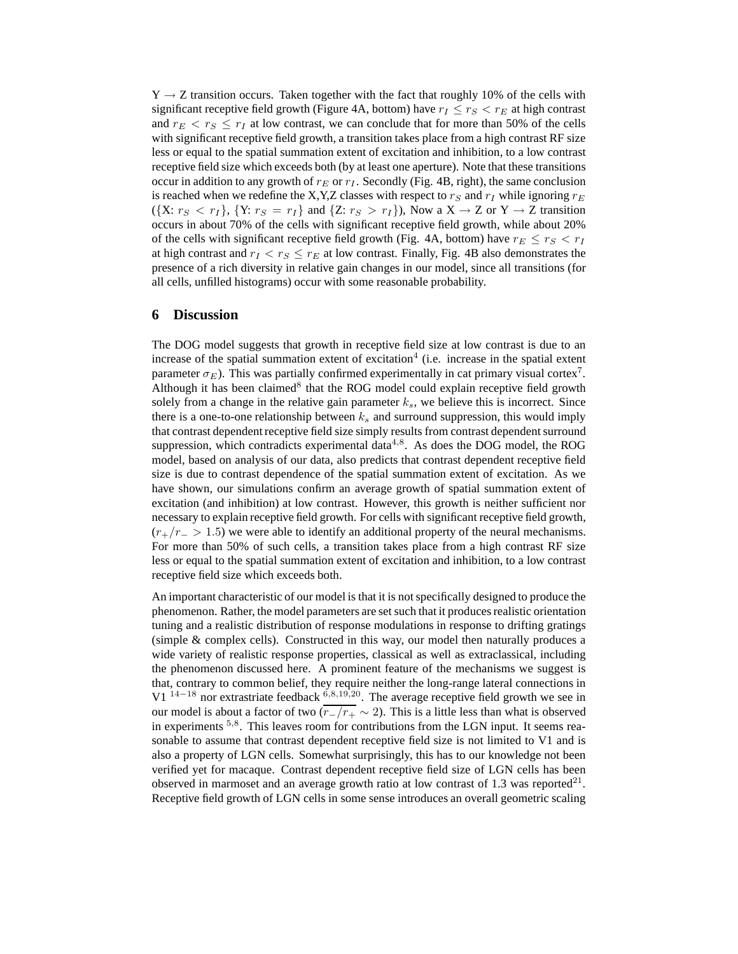$Y \rightarrow Z$  transition occurs. Taken together with the fact that roughly 10% of the cells with significant receptive field growth (Figure 4A, bottom) have  $r_I \leq r_S < r_E$  at high contrast and  $r_E < r_S \leq r_I$  at low contrast, we can conclude that for more than 50% of the cells with significant receptive field growth, a transition takes place from a high contrast RF size less or equal to the spatial summation extent of excitation and inhibition, to a low contrast receptive field size which exceeds both (by at least one aperture). Note that these transitions occur in addition to any growth of  $r_E$  or  $r_I$ . Secondly (Fig. 4B, right), the same conclusion is reached when we redefine the X,Y,Z classes with respect to  $r_S$  and  $r_I$  while ignoring  $r_E$  $({X: r<sub>S</sub> < r<sub>I</sub>}, {Y: r<sub>S</sub> = r<sub>I</sub>}$  and  ${Z: r<sub>S</sub> > r<sub>I</sub>}),$  Now a  $X \rightarrow Z$  or  $Y \rightarrow Z$  transition occurs in about 70% of the cells with significant receptive field growth, while about 20% of the cells with significant receptive field growth (Fig. 4A, bottom) have  $r_E \le r_S < r_I$ at high contrast and  $r_I < r_S \le r_E$  at low contrast. Finally, Fig. 4B also demonstrates the presence of a rich diversity in relative gain changes in our model, since all transitions (for all cells, unfilled histograms) occur with some reasonable probability.

## **6 Discussion**

The DOG model suggests that growth in receptive field size at low contrast is due to an increase of the spatial summation extent of excitation<sup>4</sup> (i.e. increase in the spatial extent parameter  $\sigma_E$ ). This was partially confirmed experimentally in cat primary visual cortex<sup>7</sup>. Although it has been claimed<sup>8</sup> that the ROG model could explain receptive field growth solely from a change in the relative gain parameter  $k<sub>s</sub>$ , we believe this is incorrect. Since there is a one-to-one relationship between  $k<sub>s</sub>$  and surround suppression, this would imply that contrast dependent receptive field size simply results from contrast dependent surround suppression, which contradicts experimental data $4.8$ . As does the DOG model, the ROG model, based on analysis of our data, also predicts that contrast dependent receptive field size is due to contrast dependence of the spatial summation extent of excitation. As we have shown, our simulations confirm an average growth of spatial summation extent of excitation (and inhibition) at low contrast. However, this growth is neither sufficient nor necessary to explain receptive field growth. For cells with significant receptive field growth,  $(r_{+}/r_{-} > 1.5)$  we were able to identify an additional property of the neural mechanisms. For more than 50% of such cells, a transition takes place from a high contrast RF size less or equal to the spatial summation extent of excitation and inhibition, to a low contrast receptive field size which exceeds both.

An important characteristic of our model is that it is not specifically designed to produce the phenomenon. Rather, the model parameters are set such that it produces realistic orientation tuning and a realistic distribution of response modulations in response to drifting gratings (simple & complex cells). Constructed in this way, our model then naturally produces a wide variety of realistic response properties, classical as well as extraclassical, including the phenomenon discussed here. A prominent feature of the mechanisms we suggest is that, contrary to common belief, they require neither the long-range lateral connections in V1  $^{14-18}$  nor extrastriate feedback  $^{6,8,19,20}$ . The average receptive field growth we see in our model is about a factor of two  $\overline{(r_-/r_+} \sim 2)$ . This is a little less than what is observed in experiments <sup>5,8</sup>. This leaves room for contributions from the LGN input. It seems reasonable to assume that contrast dependent receptive field size is not limited to V1 and is also a property of LGN cells. Somewhat surprisingly, this has to our knowledge not been verified yet for macaque. Contrast dependent receptive field size of LGN cells has been observed in marmoset and an average growth ratio at low contrast of 1.3 was reported $^{21}$ . Receptive field growth of LGN cells in some sense introduces an overall geometric scaling